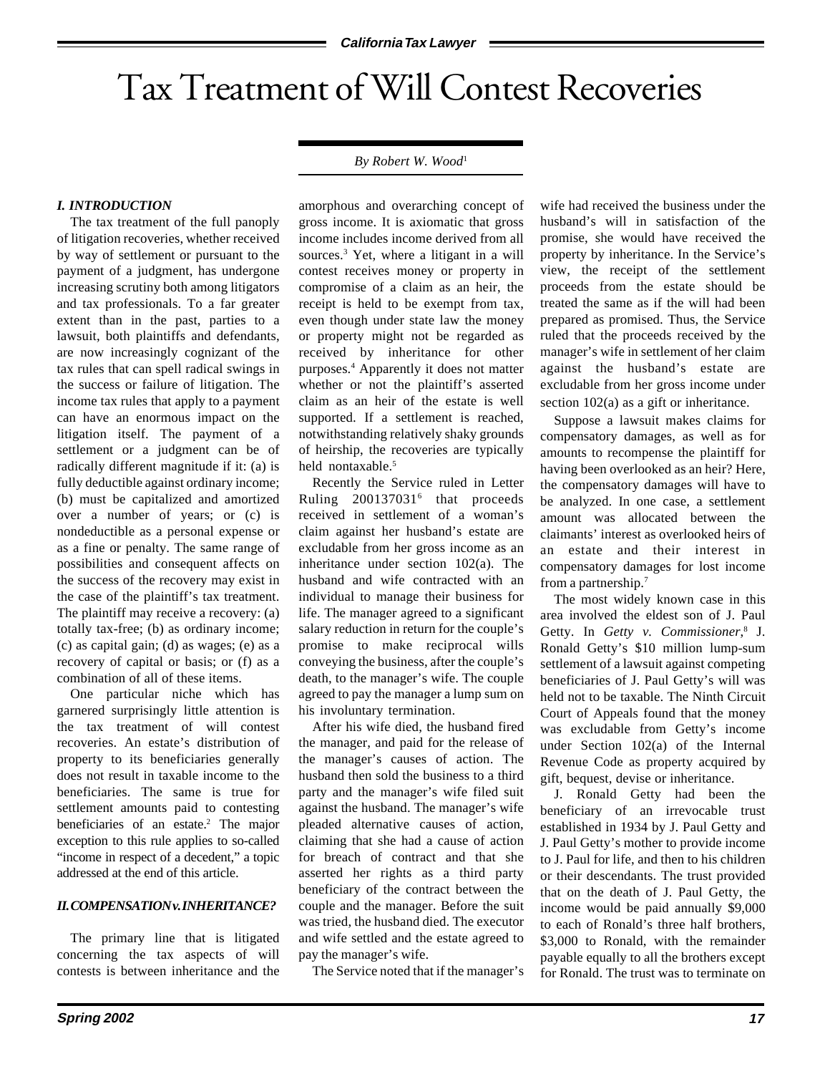# Tax Treatment of Will Contest Recoveries

#### *By Robert W. Wood*1

## *I. INTRODUCTION*

The tax treatment of the full panoply of litigation recoveries, whether received by way of settlement or pursuant to the payment of a judgment, has undergone increasing scrutiny both among litigators and tax professionals. To a far greater extent than in the past, parties to a lawsuit, both plaintiffs and defendants, are now increasingly cognizant of the tax rules that can spell radical swings in the success or failure of litigation. The income tax rules that apply to a payment can have an enormous impact on the litigation itself. The payment of a settlement or a judgment can be of radically different magnitude if it: (a) is fully deductible against ordinary income; (b) must be capitalized and amortized over a number of years; or (c) is nondeductible as a personal expense or as a fine or penalty. The same range of possibilities and consequent affects on the success of the recovery may exist in the case of the plaintiff's tax treatment. The plaintiff may receive a recovery: (a) totally tax-free; (b) as ordinary income; (c) as capital gain; (d) as wages; (e) as a recovery of capital or basis; or (f) as a combination of all of these items.

One particular niche which has garnered surprisingly little attention is the tax treatment of will contest recoveries. An estate's distribution of property to its beneficiaries generally does not result in taxable income to the beneficiaries. The same is true for settlement amounts paid to contesting beneficiaries of an estate.<sup>2</sup> The major exception to this rule applies to so-called "income in respect of a decedent," a topic addressed at the end of this article.

#### *II. COMPENSATION v. INHERITANCE?*

The primary line that is litigated concerning the tax aspects of will contests is between inheritance and the

amorphous and overarching concept of gross income. It is axiomatic that gross income includes income derived from all sources.<sup>3</sup> Yet, where a litigant in a will contest receives money or property in compromise of a claim as an heir, the receipt is held to be exempt from tax, even though under state law the money or property might not be regarded as received by inheritance for other purposes.4 Apparently it does not matter whether or not the plaintiff's asserted claim as an heir of the estate is well supported. If a settlement is reached, notwithstanding relatively shaky grounds of heirship, the recoveries are typically held nontaxable.<sup>5</sup>

Recently the Service ruled in Letter Ruling 200137031<sup>6</sup> that proceeds received in settlement of a woman's claim against her husband's estate are excludable from her gross income as an inheritance under section 102(a). The husband and wife contracted with an individual to manage their business for life. The manager agreed to a significant salary reduction in return for the couple's promise to make reciprocal wills conveying the business, after the couple's death, to the manager's wife. The couple agreed to pay the manager a lump sum on his involuntary termination.

After his wife died, the husband fired the manager, and paid for the release of the manager's causes of action. The husband then sold the business to a third party and the manager's wife filed suit against the husband. The manager's wife pleaded alternative causes of action, claiming that she had a cause of action for breach of contract and that she asserted her rights as a third party beneficiary of the contract between the couple and the manager. Before the suit was tried, the husband died. The executor and wife settled and the estate agreed to pay the manager's wife.

The Service noted that if the manager's

wife had received the business under the husband's will in satisfaction of the promise, she would have received the property by inheritance. In the Service's view, the receipt of the settlement proceeds from the estate should be treated the same as if the will had been prepared as promised. Thus, the Service ruled that the proceeds received by the manager's wife in settlement of her claim against the husband's estate are excludable from her gross income under section 102(a) as a gift or inheritance.

Suppose a lawsuit makes claims for compensatory damages, as well as for amounts to recompense the plaintiff for having been overlooked as an heir? Here, the compensatory damages will have to be analyzed. In one case, a settlement amount was allocated between the claimants' interest as overlooked heirs of an estate and their interest in compensatory damages for lost income from a partnership.7

The most widely known case in this area involved the eldest son of J. Paul Getty. In *Getty v. Commissioner*, 8 J. Ronald Getty's \$10 million lump-sum settlement of a lawsuit against competing beneficiaries of J. Paul Getty's will was held not to be taxable. The Ninth Circuit Court of Appeals found that the money was excludable from Getty's income under Section 102(a) of the Internal Revenue Code as property acquired by gift, bequest, devise or inheritance.

J. Ronald Getty had been the beneficiary of an irrevocable trust established in 1934 by J. Paul Getty and J. Paul Getty's mother to provide income to J. Paul for life, and then to his children or their descendants. The trust provided that on the death of J. Paul Getty, the income would be paid annually \$9,000 to each of Ronald's three half brothers, \$3,000 to Ronald, with the remainder payable equally to all the brothers except for Ronald. The trust was to terminate on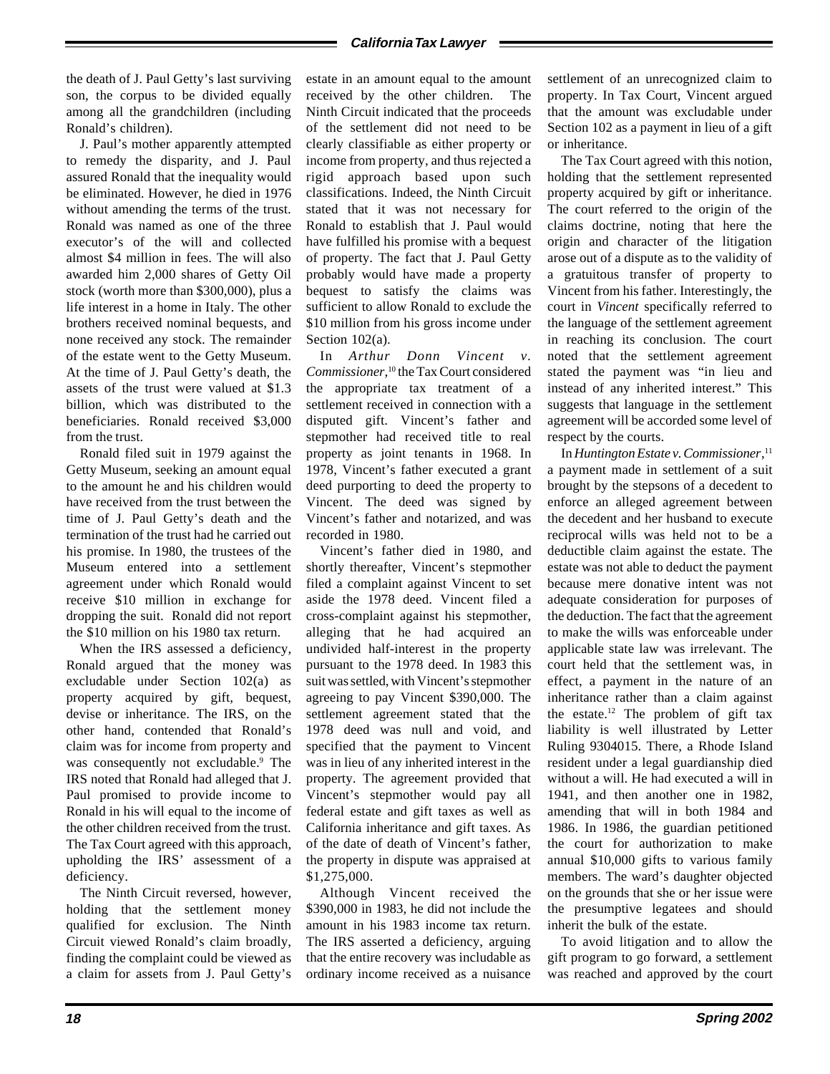the death of J. Paul Getty's last surviving son, the corpus to be divided equally among all the grandchildren (including Ronald's children).

J. Paul's mother apparently attempted to remedy the disparity, and J. Paul assured Ronald that the inequality would be eliminated. However, he died in 1976 without amending the terms of the trust. Ronald was named as one of the three executor's of the will and collected almost \$4 million in fees. The will also awarded him 2,000 shares of Getty Oil stock (worth more than \$300,000), plus a life interest in a home in Italy. The other brothers received nominal bequests, and none received any stock. The remainder of the estate went to the Getty Museum. At the time of J. Paul Getty's death, the assets of the trust were valued at \$1.3 billion, which was distributed to the beneficiaries. Ronald received \$3,000 from the trust.

Ronald filed suit in 1979 against the Getty Museum, seeking an amount equal to the amount he and his children would have received from the trust between the time of J. Paul Getty's death and the termination of the trust had he carried out his promise. In 1980, the trustees of the Museum entered into a settlement agreement under which Ronald would receive \$10 million in exchange for dropping the suit. Ronald did not report the \$10 million on his 1980 tax return.

When the IRS assessed a deficiency, Ronald argued that the money was excludable under Section 102(a) as property acquired by gift, bequest, devise or inheritance. The IRS, on the other hand, contended that Ronald's claim was for income from property and was consequently not excludable.<sup>9</sup> The IRS noted that Ronald had alleged that J. Paul promised to provide income to Ronald in his will equal to the income of the other children received from the trust. The Tax Court agreed with this approach, upholding the IRS' assessment of a deficiency.

The Ninth Circuit reversed, however, holding that the settlement money qualified for exclusion. The Ninth Circuit viewed Ronald's claim broadly, finding the complaint could be viewed as a claim for assets from J. Paul Getty's estate in an amount equal to the amount received by the other children. The Ninth Circuit indicated that the proceeds of the settlement did not need to be clearly classifiable as either property or income from property, and thus rejected a rigid approach based upon such classifications. Indeed, the Ninth Circuit stated that it was not necessary for Ronald to establish that J. Paul would have fulfilled his promise with a bequest of property. The fact that J. Paul Getty probably would have made a property bequest to satisfy the claims was sufficient to allow Ronald to exclude the \$10 million from his gross income under Section 102(a).

In *Arthur Donn Vincent v. Commissioner*, 10 the Tax Court considered the appropriate tax treatment of a settlement received in connection with a disputed gift. Vincent's father and stepmother had received title to real property as joint tenants in 1968. In 1978, Vincent's father executed a grant deed purporting to deed the property to Vincent. The deed was signed by Vincent's father and notarized, and was recorded in 1980.

Vincent's father died in 1980, and shortly thereafter, Vincent's stepmother filed a complaint against Vincent to set aside the 1978 deed. Vincent filed a cross-complaint against his stepmother, alleging that he had acquired an undivided half-interest in the property pursuant to the 1978 deed. In 1983 this suit was settled, with Vincent's stepmother agreeing to pay Vincent \$390,000. The settlement agreement stated that the 1978 deed was null and void, and specified that the payment to Vincent was in lieu of any inherited interest in the property. The agreement provided that Vincent's stepmother would pay all federal estate and gift taxes as well as California inheritance and gift taxes. As of the date of death of Vincent's father, the property in dispute was appraised at \$1,275,000.

Although Vincent received the \$390,000 in 1983, he did not include the amount in his 1983 income tax return. The IRS asserted a deficiency, arguing that the entire recovery was includable as ordinary income received as a nuisance

settlement of an unrecognized claim to property. In Tax Court, Vincent argued that the amount was excludable under Section 102 as a payment in lieu of a gift or inheritance.

The Tax Court agreed with this notion, holding that the settlement represented property acquired by gift or inheritance. The court referred to the origin of the claims doctrine, noting that here the origin and character of the litigation arose out of a dispute as to the validity of a gratuitous transfer of property to Vincent from his father. Interestingly, the court in *Vincent* specifically referred to the language of the settlement agreement in reaching its conclusion. The court noted that the settlement agreement stated the payment was "in lieu and instead of any inherited interest." This suggests that language in the settlement agreement will be accorded some level of respect by the courts.

In *Huntington Estate v. Commissioner*, 11 a payment made in settlement of a suit brought by the stepsons of a decedent to enforce an alleged agreement between the decedent and her husband to execute reciprocal wills was held not to be a deductible claim against the estate. The estate was not able to deduct the payment because mere donative intent was not adequate consideration for purposes of the deduction. The fact that the agreement to make the wills was enforceable under applicable state law was irrelevant. The court held that the settlement was, in effect, a payment in the nature of an inheritance rather than a claim against the estate.<sup>12</sup> The problem of gift tax liability is well illustrated by Letter Ruling 9304015. There, a Rhode Island resident under a legal guardianship died without a will. He had executed a will in 1941, and then another one in 1982, amending that will in both 1984 and 1986. In 1986, the guardian petitioned the court for authorization to make annual \$10,000 gifts to various family members. The ward's daughter objected on the grounds that she or her issue were the presumptive legatees and should inherit the bulk of the estate.

To avoid litigation and to allow the gift program to go forward, a settlement was reached and approved by the court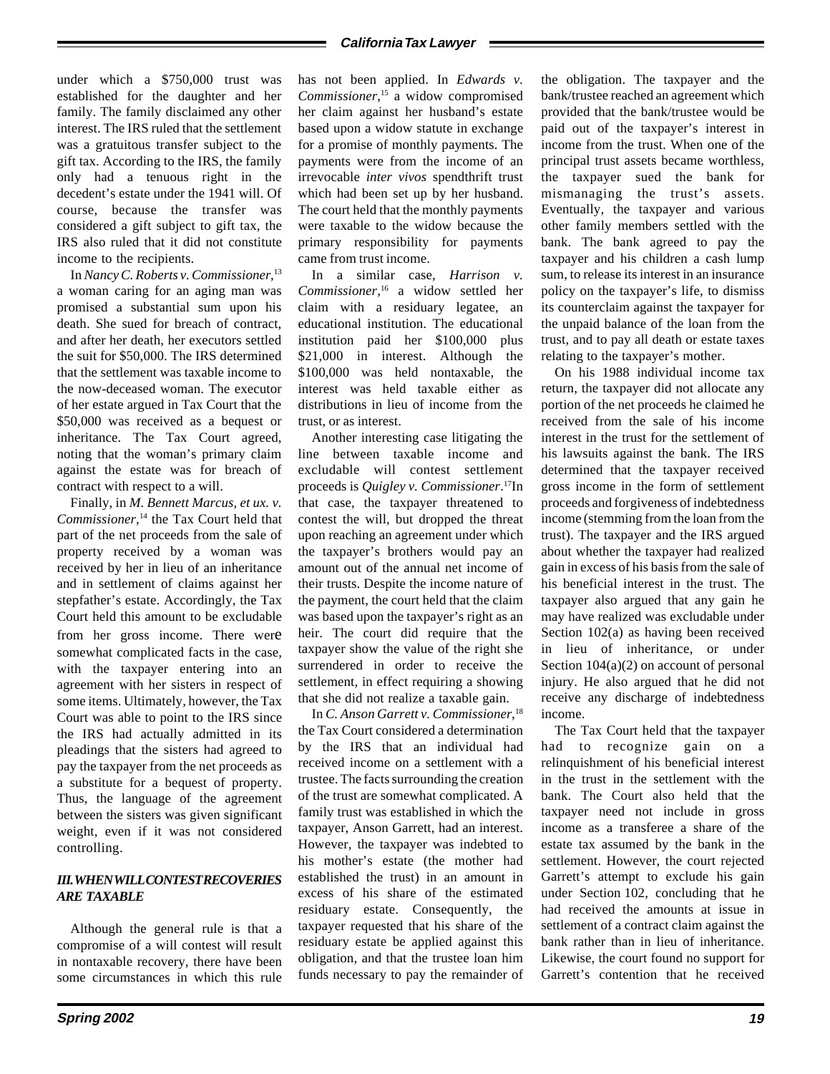### **California Tax Lawyer**

under which a \$750,000 trust was established for the daughter and her family. The family disclaimed any other interest. The IRS ruled that the settlement was a gratuitous transfer subject to the gift tax. According to the IRS, the family only had a tenuous right in the decedent's estate under the 1941 will. Of course, because the transfer was considered a gift subject to gift tax, the IRS also ruled that it did not constitute income to the recipients.

In *Nancy C. Roberts v. Commissioner*, 13 a woman caring for an aging man was promised a substantial sum upon his death. She sued for breach of contract, and after her death, her executors settled the suit for \$50,000. The IRS determined that the settlement was taxable income to the now-deceased woman. The executor of her estate argued in Tax Court that the \$50,000 was received as a bequest or inheritance. The Tax Court agreed, noting that the woman's primary claim against the estate was for breach of contract with respect to a will.

Finally, in *M. Bennett Marcus, et ux. v. Commissioner*, 14 the Tax Court held that part of the net proceeds from the sale of property received by a woman was received by her in lieu of an inheritance and in settlement of claims against her stepfather's estate. Accordingly, the Tax Court held this amount to be excludable from her gross income. There were somewhat complicated facts in the case, with the taxpayer entering into an agreement with her sisters in respect of some items. Ultimately, however, the Tax Court was able to point to the IRS since the IRS had actually admitted in its pleadings that the sisters had agreed to pay the taxpayer from the net proceeds as a substitute for a bequest of property. Thus, the language of the agreement between the sisters was given significant weight, even if it was not considered controlling.

# *III. WHEN WILL CONTEST RECOVERIES ARE TAXABLE*

Although the general rule is that a compromise of a will contest will result in nontaxable recovery, there have been some circumstances in which this rule

has not been applied. In *Edwards v. Commissioner*, 15 a widow compromised her claim against her husband's estate based upon a widow statute in exchange for a promise of monthly payments. The payments were from the income of an irrevocable *inter vivos* spendthrift trust which had been set up by her husband. The court held that the monthly payments were taxable to the widow because the primary responsibility for payments came from trust income.

In a similar case, *Harrison v. Commissioner*, 16 a widow settled her claim with a residuary legatee, an educational institution. The educational institution paid her \$100,000 plus \$21,000 in interest. Although the \$100,000 was held nontaxable, the interest was held taxable either as distributions in lieu of income from the trust, or as interest.

Another interesting case litigating the line between taxable income and excludable will contest settlement proceeds is *Quigley v. Commissioner*. 17In that case, the taxpayer threatened to contest the will, but dropped the threat upon reaching an agreement under which the taxpayer's brothers would pay an amount out of the annual net income of their trusts. Despite the income nature of the payment, the court held that the claim was based upon the taxpayer's right as an heir. The court did require that the taxpayer show the value of the right she surrendered in order to receive the settlement, in effect requiring a showing that she did not realize a taxable gain.

In *C. Anson Garrett v. Commissioner*, 18 the Tax Court considered a determination by the IRS that an individual had received income on a settlement with a trustee. The facts surrounding the creation of the trust are somewhat complicated. A family trust was established in which the taxpayer, Anson Garrett, had an interest. However, the taxpayer was indebted to his mother's estate (the mother had established the trust) in an amount in excess of his share of the estimated residuary estate. Consequently, the taxpayer requested that his share of the residuary estate be applied against this obligation, and that the trustee loan him funds necessary to pay the remainder of

the obligation. The taxpayer and the bank/trustee reached an agreement which provided that the bank/trustee would be paid out of the taxpayer's interest in income from the trust. When one of the principal trust assets became worthless, the taxpayer sued the bank for mismanaging the trust's assets. Eventually, the taxpayer and various other family members settled with the bank. The bank agreed to pay the taxpayer and his children a cash lump sum, to release its interest in an insurance policy on the taxpayer's life, to dismiss its counterclaim against the taxpayer for the unpaid balance of the loan from the trust, and to pay all death or estate taxes relating to the taxpayer's mother.

On his 1988 individual income tax return, the taxpayer did not allocate any portion of the net proceeds he claimed he received from the sale of his income interest in the trust for the settlement of his lawsuits against the bank. The IRS determined that the taxpayer received gross income in the form of settlement proceeds and forgiveness of indebtedness income (stemming from the loan from the trust). The taxpayer and the IRS argued about whether the taxpayer had realized gain in excess of his basis from the sale of his beneficial interest in the trust. The taxpayer also argued that any gain he may have realized was excludable under Section 102(a) as having been received in lieu of inheritance, or under Section 104(a)(2) on account of personal injury. He also argued that he did not receive any discharge of indebtedness income.

The Tax Court held that the taxpayer had to recognize gain on a relinquishment of his beneficial interest in the trust in the settlement with the bank. The Court also held that the taxpayer need not include in gross income as a transferee a share of the estate tax assumed by the bank in the settlement. However, the court rejected Garrett's attempt to exclude his gain under Section 102, concluding that he had received the amounts at issue in settlement of a contract claim against the bank rather than in lieu of inheritance. Likewise, the court found no support for Garrett's contention that he received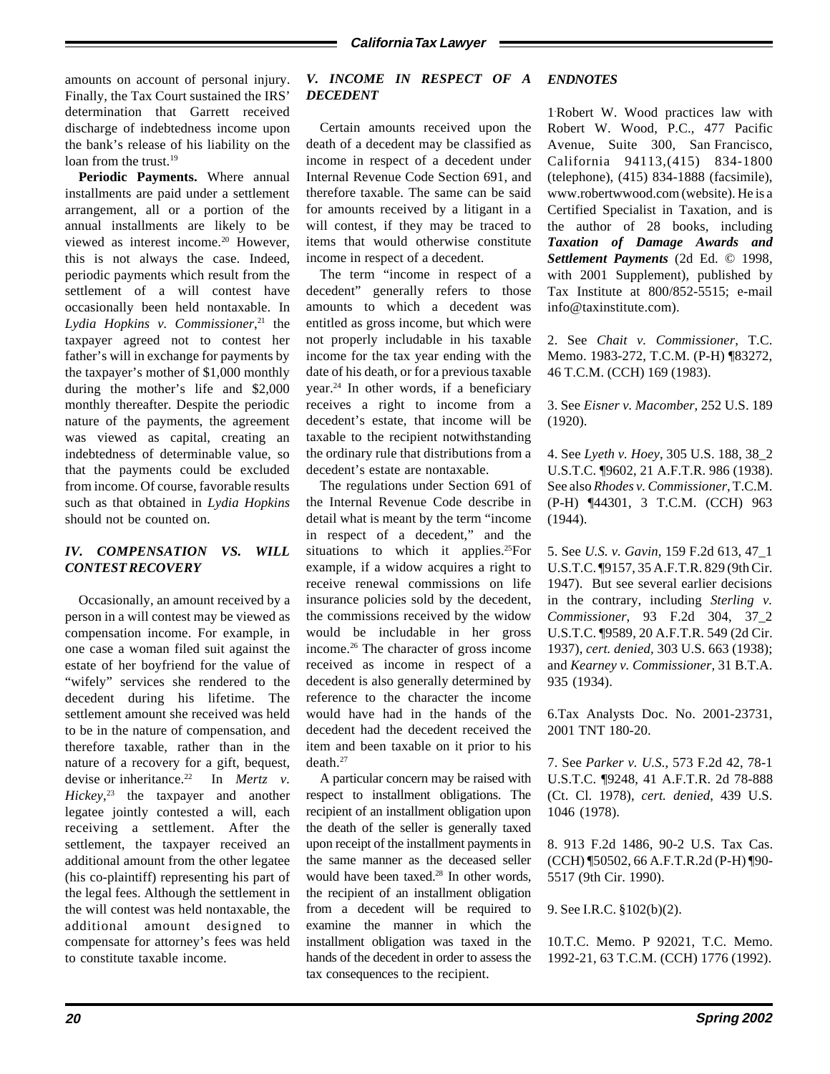amounts on account of personal injury. Finally, the Tax Court sustained the IRS' determination that Garrett received discharge of indebtedness income upon the bank's release of his liability on the loan from the trust.<sup>19</sup>

**Periodic Payments.** Where annual installments are paid under a settlement arrangement, all or a portion of the annual installments are likely to be viewed as interest income.<sup>20</sup> However, this is not always the case. Indeed, periodic payments which result from the settlement of a will contest have occasionally been held nontaxable. In *Lydia Hopkins v. Commissioner*, 21 the taxpayer agreed not to contest her father's will in exchange for payments by the taxpayer's mother of \$1,000 monthly during the mother's life and \$2,000 monthly thereafter. Despite the periodic nature of the payments, the agreement was viewed as capital, creating an indebtedness of determinable value, so that the payments could be excluded from income. Of course, favorable results such as that obtained in *Lydia Hopkins* should not be counted on.

# *IV. COMPENSATION VS. WILL CONTEST RECOVERY*

Occasionally, an amount received by a person in a will contest may be viewed as compensation income. For example, in one case a woman filed suit against the estate of her boyfriend for the value of "wifely" services she rendered to the decedent during his lifetime. The settlement amount she received was held to be in the nature of compensation, and therefore taxable, rather than in the nature of a recovery for a gift, bequest, devise or inheritance.<sup>22</sup> In *Mertz v*. *Hickey*, 23 the taxpayer and another legatee jointly contested a will, each receiving a settlement. After the settlement, the taxpayer received an additional amount from the other legatee (his co-plaintiff) representing his part of the legal fees. Although the settlement in the will contest was held nontaxable, the additional amount designed to compensate for attorney's fees was held to constitute taxable income.

#### *V. INCOME IN RESPECT OF A DECEDENT ENDNOTES*

Certain amounts received upon the death of a decedent may be classified as income in respect of a decedent under Internal Revenue Code Section 691, and therefore taxable. The same can be said for amounts received by a litigant in a will contest, if they may be traced to items that would otherwise constitute income in respect of a decedent.

The term "income in respect of a decedent" generally refers to those amounts to which a decedent was entitled as gross income, but which were not properly includable in his taxable income for the tax year ending with the date of his death, or for a previous taxable year.24 In other words, if a beneficiary receives a right to income from a decedent's estate, that income will be taxable to the recipient notwithstanding the ordinary rule that distributions from a decedent's estate are nontaxable.

The regulations under Section 691 of the Internal Revenue Code describe in detail what is meant by the term "income in respect of a decedent," and the situations to which it applies.<sup>25</sup>For example, if a widow acquires a right to receive renewal commissions on life insurance policies sold by the decedent, the commissions received by the widow would be includable in her gross income.26 The character of gross income received as income in respect of a decedent is also generally determined by reference to the character the income would have had in the hands of the decedent had the decedent received the item and been taxable on it prior to his death.27

A particular concern may be raised with respect to installment obligations. The recipient of an installment obligation upon the death of the seller is generally taxed upon receipt of the installment payments in the same manner as the deceased seller would have been taxed.<sup>28</sup> In other words, the recipient of an installment obligation from a decedent will be required to examine the manner in which the installment obligation was taxed in the hands of the decedent in order to assess the tax consequences to the recipient.

1. Robert W. Wood practices law with Robert W. Wood, P.C., 477 Pacific Avenue, Suite 300, San Francisco, California 94113,(415) 834-1800 (telephone), (415) 834-1888 (facsimile), www.robertwwood.com (website). He is a Certified Specialist in Taxation, and is the author of 28 books, including *Taxation of Damage Awards and Settlement Payments* (2d Ed. © 1998, with 2001 Supplement), published by Tax Institute at 800/852-5515; e-mail info@taxinstitute.com).

2. See *Chait v. Commissioner*, T.C. Memo. 1983-272, T.C.M. (P-H) ¶83272, 46 T.C.M. (CCH) 169 (1983).

3. See *Eisner v. Macomber*, 252 U.S. 189 (1920).

4. See *Lyeth v. Hoey*, 305 U.S. 188, 38\_2 U.S.T.C. ¶9602, 21 A.F.T.R. 986 (1938). See also *Rhodes v. Commissioner*, T.C.M. (P-H) ¶44301, 3 T.C.M. (CCH) 963 (1944).

5. See *U.S. v. Gavin,* 159 F.2d 613, 47\_1 U.S.T.C. ¶9157, 35 A.F.T.R. 829 (9th Cir. 1947). But see several earlier decisions in the contrary, including *Sterling v. Commissioner*, 93 F.2d 304, 37\_2 U.S.T.C. ¶9589, 20 A.F.T.R. 549 (2d Cir. 1937), *cert. denied,* 303 U.S. 663 (1938); and *Kearney v. Commissioner,* 31 B.T.A. 935 (1934).

6.Tax Analysts Doc. No. 2001-23731, 2001 TNT 180-20.

7. See *Parker v. U.S.*, 573 F.2d 42, 78-1 U.S.T.C. ¶9248, 41 A.F.T.R. 2d 78-888 (Ct. Cl. 1978), *cert. denied*, 439 U.S. 1046 (1978).

8. 913 F.2d 1486, 90-2 U.S. Tax Cas. (CCH) ¶50502, 66 A.F.T.R.2d (P-H) ¶90- 5517 (9th Cir. 1990).

9. See I.R.C. §102(b)(2).

10.T.C. Memo. P 92021, T.C. Memo. 1992-21, 63 T.C.M. (CCH) 1776 (1992).